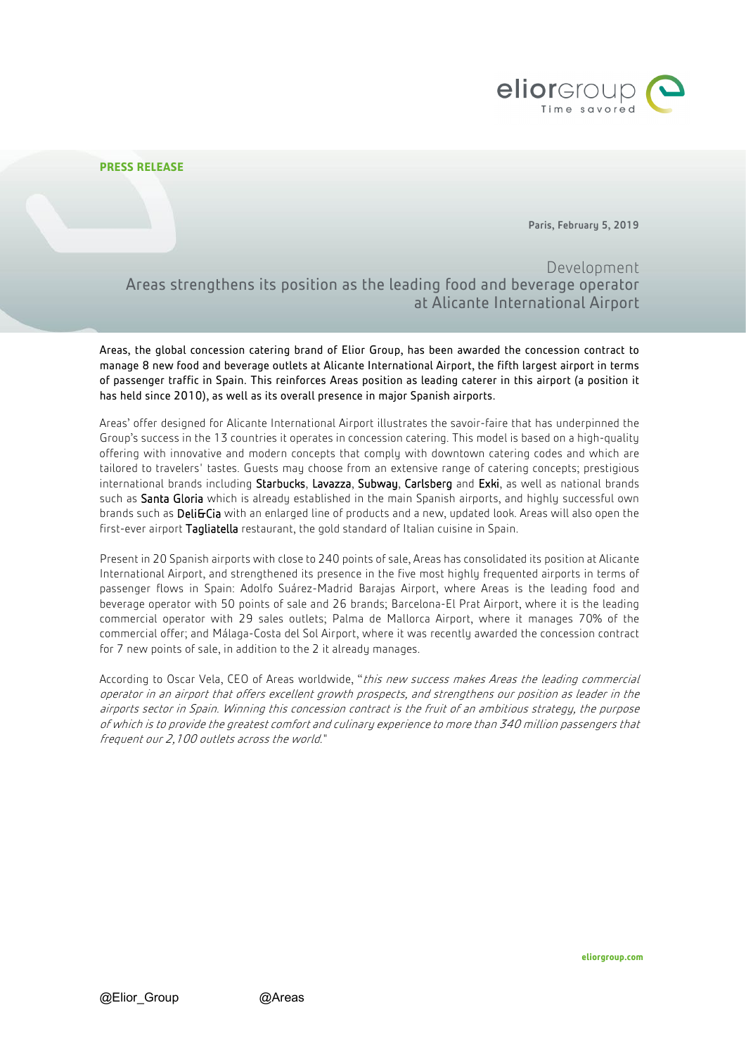

## **PRESS RELEASE**

Paris, February 5, 2019

Development Areas strengthens its position as the leading food and beverage operator at Alicante International Airport

Areas, the global concession catering brand of Elior Group, has been awarded the concession contract to manage 8 new food and beverage outlets at Alicante International Airport, the fifth largest airport in terms of passenger traffic in Spain. This reinforces Areas position as leading caterer in this airport (a position it has held since 2010), as well as its overall presence in major Spanish airports.

Areas' offer designed for Alicante International Airport illustrates the savoir-faire that has underpinned the Group's success in the 13 countries it operates in concession catering. This model is based on a high-quality offering with innovative and modern concepts that comply with downtown catering codes and which are tailored to travelers' tastes. Guests may choose from an extensive range of catering concepts; prestigious international brands including Starbucks, Lavazza, Subway, Carlsberg and Exki, as well as national brands such as Santa Gloria which is already established in the main Spanish airports, and highly successful own brands such as DeliGCia with an enlarged line of products and a new, updated look. Areas will also open the first-ever airport Tagliatella restaurant, the gold standard of Italian cuisine in Spain.

Present in 20 Spanish airports with close to 240 points of sale, Areas has consolidated its position at Alicante International Airport, and strengthened its presence in the five most highly frequented airports in terms of passenger flows in Spain: Adolfo Suárez-Madrid Barajas Airport, where Areas is the leading food and beverage operator with 50 points of sale and 26 brands; Barcelona-El Prat Airport, where it is the leading commercial operator with 29 sales outlets; Palma de Mallorca Airport, where it manages 70% of the commercial offer; and Málaga-Costa del Sol Airport, where it was recently awarded the concession contract for 7 new points of sale, in addition to the 2 it already manages.

According to Oscar Vela, CEO of Areas worldwide, "this new success makes Areas the leading commercial operator in an airport that offers excellent growth prospects, and strengthens our position as leader in the airports sector in Spain. Winning this concession contract is the fruit of an ambitious strategy, the purpose of which is to provide the greatest comfort and culinary experience to more than 340 million passengers that frequent our 2,100 outlets across the world."